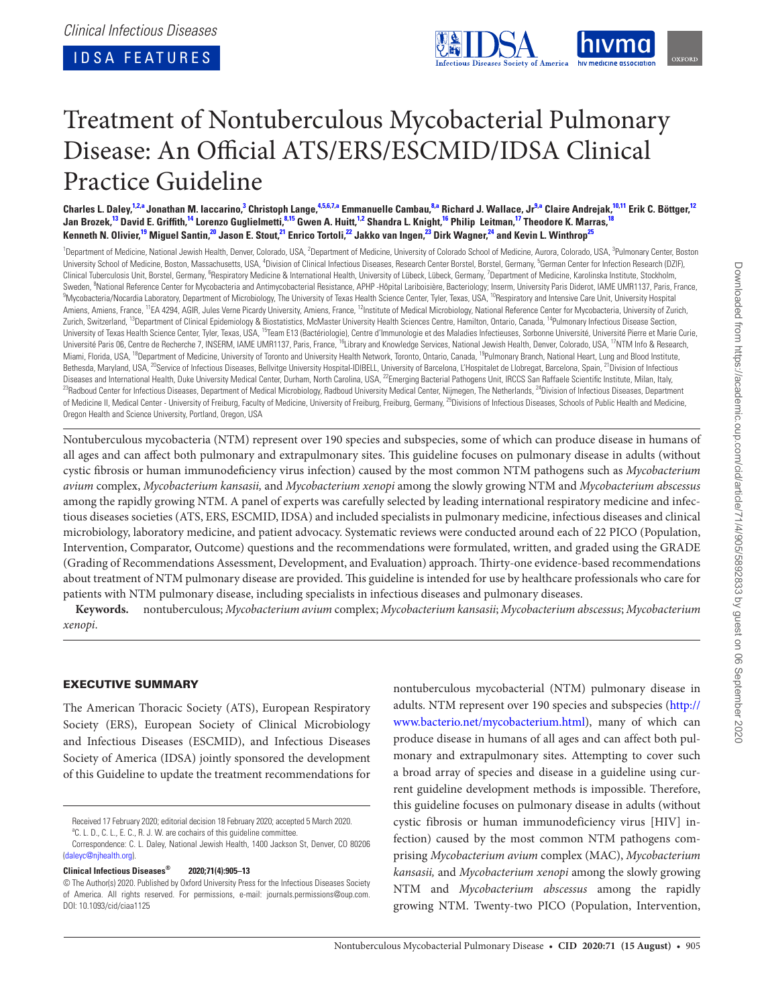<span id="page-0-17"></span><span id="page-0-7"></span><span id="page-0-5"></span><span id="page-0-3"></span>

# Treatment of Nontuberculous Mycobacterial Pulmonary Disease: An Official ATS/ERS/ESCMID/IDSA Clinical Practice Guideline

Charles L. Daley,<sup>1,2,a</sup> Jonathan M. Iaccarino,<sup>3</sup> Christoph Lange,<sup>4,5,6,7,a</sup> Emmanuelle Cambau,<sup>8,a</sup> Richard J. Wallace, Jr<sup>9,a</sup> Claire Andrejak,<sup>10[,1](#page-0-0)1</sup> Erik C. Böttger,<sup>[12](#page-0-12)</sup> Jan Brozek,<sup>[13](#page-0-13)</sup> David E. Griffith,<sup>[14](#page-0-14)</sup> Lorenzo Guglielmetti,<sup>8,[15](#page-0-15)</sup> Gwen A. Huitt,<sup>[1](#page-0-0)[,2](#page-0-1)</sup> Shandra L. Knight,<sup>16</sup> Philip Leitman,<sup>[17](#page-0-17)</sup> Theodore K. Marras,<sup>[18](#page-0-18)</sup> Kenneth N. Olivier,<sup>[19](#page-0-19)</sup> Miguel Santin,<sup>[20](#page-0-20)</sup> Jason E. Stout,<sup>[21](#page-0-21)</sup> Enrico Tortoli,<sup>22</sup> Jakko van Ingen,<sup>[23](#page-0-23)</sup> Dirk Wagner,<sup>[24](#page-0-24)</sup> and Kevin L. Winthrop<sup>25</sup>

<span id="page-0-16"></span><span id="page-0-15"></span><span id="page-0-14"></span><span id="page-0-13"></span><span id="page-0-12"></span><span id="page-0-11"></span><span id="page-0-10"></span><span id="page-0-9"></span><span id="page-0-8"></span><span id="page-0-6"></span><span id="page-0-4"></span><span id="page-0-1"></span><span id="page-0-0"></span><sup>1</sup>Department of Medicine, National Jewish Health, Denver, Colorado, USA, <sup>2</sup>Department of Medicine, University of Colorado School of Medicine, Aurora, Colorado, USA, <sup>3</sup>Pulmonary Center, Boston University School of Medicine, Boston, Massachusetts, USA, <sup>4</sup>Division of Clinical Infectious Diseases, Research Center Borstel, Borstel, Germany, <sup>5</sup>German Center for Infection Research (DZIF), Clinical Tuberculosis Unit, Borstel, Germany, <sup>6</sup>Respiratory Medicine & International Health, University of Lübeck, Lübeck, Germany, <sup>7</sup>Department of Medicine, Karolinska Institute, Stockholm, Sweden, <sup>8</sup>National Reference Center for Mycobacteria and Antimycobacterial Resistance, APHP -Hôpital Lariboisière, Bacteriology; Inserm, University Paris Diderot, IAME UMR1137, Paris, France,<br><sup>9</sup>Mucobacteria Mecardia Labo <sup>9</sup>Mycobacteria/Nocardia Laboratory, Department of Microbiology, The University of Texas Health Science Center, Tyler, Texas, USA, <sup>10</sup>Respiratory and Intensive Care Unit, University Hospital Amiens, Amiens, France, <sup>11</sup>EA 4294, AGIR, Jules Verne Picardy University, Amiens, France, <sup>12</sup>Institute of Medical Microbiology, National Reference Center for Mycobacteria, University of Zurich, Zurich, Switzerland, <sup>13</sup>Department of Clinical Epidemiology & Biostatistics, McMaster University Health Sciences Centre, Hamilton, Ontario, Canada, <sup>14</sup>Pulmonary Infectious Disease Section, University of Texas Health Science Center, Tyler, Texas, USA, 15Team E13 (Bactériologie), Centre d'Immunologie et des Maladies Infectieuses, Sorbonne Université, Université Pierre et Marie Curie, Université Paris 06, Centre de Recherche 7, INSERM, IAME UMR1137, Paris, France, <sup>16</sup>Library and Knowledge Services, National Jewish Health, Denver, Colorado, USA, <sup>17</sup>NTM Info & Research, Miami, Florida, USA, <sup>18</sup>Department of Medicine, University of Toronto and University Health Network, Toronto, Ontario, Canada, <sup>19</sup>Pulmonary Branch, National Heart, Lung and Blood Institute, Bethesda, Maryland, USA, <sup>20</sup>Service of Infectious Diseases, Bellvitge University Hospital-IDIBELL, University of Barcelona, L'Hospitalet de Llobregat, Barcelona, Spain, <sup>21</sup>Division of Infectious<br>Diseases and Internationa <sup>23</sup>Radboud Center for Infectious Diseases, Department of Medical Microbiology, Radboud University Medical Center, Nijmegen, The Netherlands, <sup>24</sup>Division of Infectious Diseases, Department of Medicine II, Medical Center - University of Freiburg, Faculty of Medicine, University of Freiburg, Freiburg, Germany, <sup>25</sup>Divisions of Infectious Diseases, Schools of Public Health and Medicine, Oregon Health and Science University, Portland, Oregon, USA

<span id="page-0-25"></span><span id="page-0-24"></span><span id="page-0-23"></span><span id="page-0-22"></span><span id="page-0-21"></span><span id="page-0-20"></span><span id="page-0-19"></span><span id="page-0-18"></span>Nontuberculous mycobacteria (NTM) represent over 190 species and subspecies, some of which can produce disease in humans of all ages and can affect both pulmonary and extrapulmonary sites. This guideline focuses on pulmonary disease in adults (without cystic fibrosis or human immunodeficiency virus infection) caused by the most common NTM pathogens such as *Mycobacterium avium* complex, *Mycobacterium kansasii,* and *Mycobacterium xenopi* among the slowly growing NTM and *Mycobacterium abscessus* among the rapidly growing NTM. A panel of experts was carefully selected by leading international respiratory medicine and infectious diseases societies (ATS, ERS, ESCMID, IDSA) and included specialists in pulmonary medicine, infectious diseases and clinical microbiology, laboratory medicine, and patient advocacy. Systematic reviews were conducted around each of 22 PICO (Population, Intervention, Comparator, Outcome) questions and the recommendations were formulated, written, and graded using the GRADE (Grading of Recommendations Assessment, Development, and Evaluation) approach. Thirty-one evidence-based recommendations about treatment of NTM pulmonary disease are provided. This guideline is intended for use by healthcare professionals who care for patients with NTM pulmonary disease, including specialists in infectious diseases and pulmonary diseases.

**Keywords.** nontuberculous; *Mycobacterium avium* complex; *Mycobacterium kansasii*; *Mycobacterium abscessus*; *Mycobacterium xenopi*.

# EXECUTIVE SUMMARY

The American Thoracic Society (ATS), European Respiratory Society (ERS), European Society of Clinical Microbiology and Infectious Diseases (ESCMID), and Infectious Diseases Society of America (IDSA) jointly sponsored the development of this Guideline to update the treatment recommendations for

## **Clinical Infectious Diseases® 2020;71(4):905–13**

nontuberculous mycobacterial (NTM) pulmonary disease in adults. NTM represent over 190 species and subspecies ([http://](http://www.bacterio.net/mycobacterium.html) [www.bacterio.net/mycobacterium.html](http://www.bacterio.net/mycobacterium.html)), many of which can produce disease in humans of all ages and can affect both pulmonary and extrapulmonary sites. Attempting to cover such a broad array of species and disease in a guideline using current guideline development methods is impossible. Therefore, this guideline focuses on pulmonary disease in adults (without cystic fibrosis or human immunodeficiency virus [HIV] infection) caused by the most common NTM pathogens comprising *Mycobacterium avium* complex (MAC), *Mycobacterium kansasii,* and *Mycobacterium xenopi* among the slowly growing NTM and *Mycobacterium abscessus* among the rapidly growing NTM. Twenty-two PICO (Population, Intervention,

<span id="page-0-2"></span>Received 17 February 2020; editorial decision 18 February 2020; accepted 5 March 2020. <sup>a</sup>C. L. D., C. L., E. C., R. J. W. are cochairs of this guideline committee.

Correspondence: C. L. Daley, National Jewish Health, 1400 Jackson St, Denver, CO 80206 ([daleyc@njhealth.org\)](mailto:daleyc@njhealth.org?subject=).

<sup>©</sup> The Author(s) 2020. Published by Oxford University Press for the Infectious Diseases Society of America. All rights reserved. For permissions, e-mail: journals.permissions@oup.com. DOI: 10.1093/cid/ciaa1125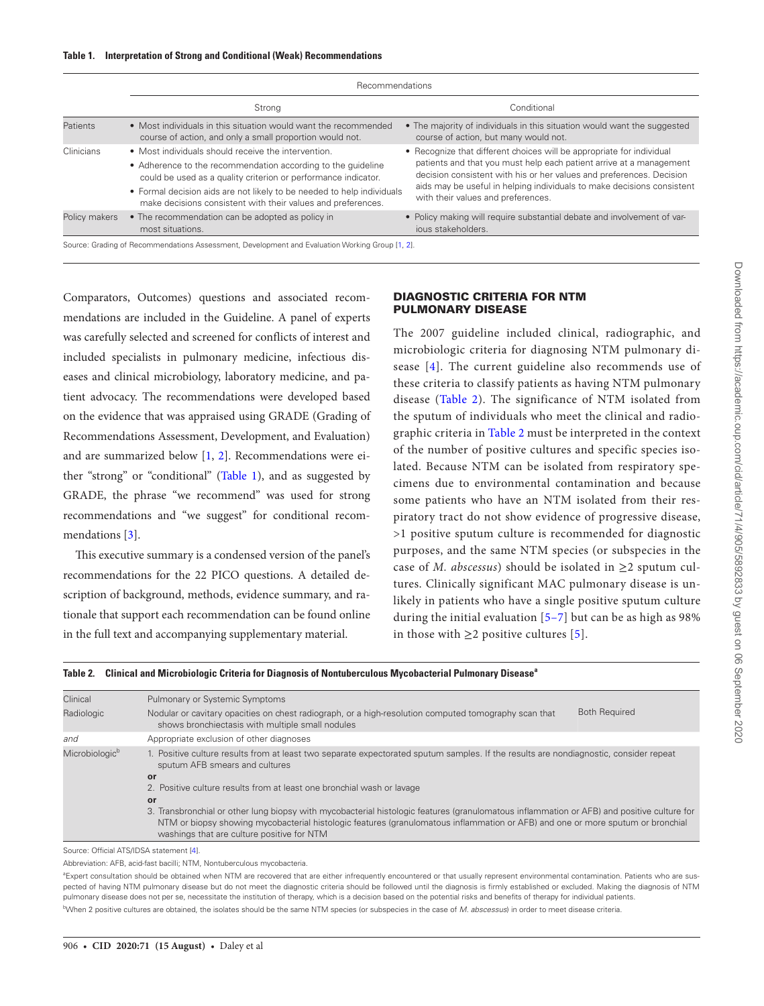<span id="page-1-0"></span>

|               | Recommendations                                                                                                                                                                                                                                                                                                                 |                                                                                                                                                                                                                                                                                                                                      |  |  |  |
|---------------|---------------------------------------------------------------------------------------------------------------------------------------------------------------------------------------------------------------------------------------------------------------------------------------------------------------------------------|--------------------------------------------------------------------------------------------------------------------------------------------------------------------------------------------------------------------------------------------------------------------------------------------------------------------------------------|--|--|--|
|               | Strong                                                                                                                                                                                                                                                                                                                          | Conditional                                                                                                                                                                                                                                                                                                                          |  |  |  |
| Patients      | • Most individuals in this situation would want the recommended<br>course of action, and only a small proportion would not.                                                                                                                                                                                                     | • The majority of individuals in this situation would want the suggested<br>course of action, but many would not.                                                                                                                                                                                                                    |  |  |  |
| Clinicians    | • Most individuals should receive the intervention.<br>• Adherence to the recommendation according to the quideline<br>could be used as a quality criterion or performance indicator.<br>• Formal decision aids are not likely to be needed to help individuals<br>make decisions consistent with their values and preferences. | • Recognize that different choices will be appropriate for individual<br>patients and that you must help each patient arrive at a management<br>decision consistent with his or her values and preferences. Decision<br>aids may be useful in helping individuals to make decisions consistent<br>with their values and preferences. |  |  |  |
| Policy makers | • The recommendation can be adopted as policy in<br>most situations.                                                                                                                                                                                                                                                            | • Policy making will require substantial debate and involvement of var-<br>jous stakeholders.                                                                                                                                                                                                                                        |  |  |  |
|               | Source: Grading of Recommendations Assessment, Development and Evaluation Working Group [1, 2].                                                                                                                                                                                                                                 |                                                                                                                                                                                                                                                                                                                                      |  |  |  |

Comparators, Outcomes) questions and associated recommendations are included in the Guideline. A panel of experts was carefully selected and screened for conflicts of interest and included specialists in pulmonary medicine, infectious diseases and clinical microbiology, laboratory medicine, and patient advocacy. The recommendations were developed based on the evidence that was appraised using GRADE (Grading of Recommendations Assessment, Development, and Evaluation) and are summarized below [\[1,](#page-7-0) [2](#page-7-1)]. Recommendations were either "strong" or "conditional" (Table 1), and as suggested by GRADE, the phrase "we recommend" was used for strong recommendations and "we suggest" for conditional recommendations [\[3\]](#page-7-2).

This executive summary is a condensed version of the panel's recommendations for the 22 PICO questions. A detailed description of background, methods, evidence summary, and rationale that support each recommendation can be found online in the full text and accompanying supplementary material.

#### DIAGNOSTIC CRITERIA FOR NTM PULMONARY DISEASE

The 2007 guideline included clinical, radiographic, and microbiologic criteria for diagnosing NTM pulmonary disease [[4\]](#page-7-3). The current guideline also recommends use of these criteria to classify patients as having NTM pulmonary disease ([Table 2\)](#page-1-1). The significance of NTM isolated from the sputum of individuals who meet the clinical and radiographic criteria in [Table 2](#page-1-1) must be interpreted in the context of the number of positive cultures and specific species isolated. Because NTM can be isolated from respiratory specimens due to environmental contamination and because some patients who have an NTM isolated from their respiratory tract do not show evidence of progressive disease, >1 positive sputum culture is recommended for diagnostic purposes, and the same NTM species (or subspecies in the case of *M. abscessus*) should be isolated in  $\geq$ 2 sputum cultures. Clinically significant MAC pulmonary disease is unlikely in patients who have a single positive sputum culture during the initial evaluation [[5–](#page-7-4)[7\]](#page-7-5) but can be as high as 98% in those with  $≥2$  positive cultures [[5\]](#page-7-4).

<span id="page-1-1"></span>

|  | "Table 2.    Clinical and Microbiologic Criteria for Diagnosis of Nontuberculous Mycobacterial Pulmonary Disease |  |  |  |  |
|--|------------------------------------------------------------------------------------------------------------------|--|--|--|--|
|--|------------------------------------------------------------------------------------------------------------------|--|--|--|--|

| Clinical                   | Pulmonary or Systemic Symptoms                                                                                                                                                                                                                                                                                              |                      |  |  |  |
|----------------------------|-----------------------------------------------------------------------------------------------------------------------------------------------------------------------------------------------------------------------------------------------------------------------------------------------------------------------------|----------------------|--|--|--|
| Radiologic                 | Nodular or cavitary opacities on chest radiograph, or a high-resolution computed tomography scan that<br>shows bronchiectasis with multiple small nodules                                                                                                                                                                   | <b>Both Required</b> |  |  |  |
| and                        | Appropriate exclusion of other diagnoses                                                                                                                                                                                                                                                                                    |                      |  |  |  |
| Microbiologic <sup>b</sup> | 1. Positive culture results from at least two separate expectorated sputum samples. If the results are nondiagnostic, consider repeat<br>sputum AFB smears and cultures                                                                                                                                                     |                      |  |  |  |
|                            | or                                                                                                                                                                                                                                                                                                                          |                      |  |  |  |
|                            | 2. Positive culture results from at least one bronchial wash or lavage                                                                                                                                                                                                                                                      |                      |  |  |  |
|                            | or                                                                                                                                                                                                                                                                                                                          |                      |  |  |  |
|                            | 3. Transbronchial or other lung biopsy with mycobacterial histologic features (granulomatous inflammation or AFB) and positive culture for<br>NTM or biopsy showing mycobacterial histologic features (granulomatous inflammation or AFB) and one or more sputum or bronchial<br>washings that are culture positive for NTM |                      |  |  |  |

Source: Official ATS/IDSA statement [\[4\]](#page-7-3).

Abbreviation: AFB, acid-fast bacilli; NTM, Nontuberculous mycobacteria.

<sup>a</sup>Expert consultation should be obtained when NTM are recovered that are either infrequently encountered or that usually represent environmental contamination. Patients who are suspected of having NTM pulmonary disease but do not meet the diagnostic criteria should be followed until the diagnosis is firmly established or excluded. Making the diagnosis of NTM pulmonary disease does not per se, necessitate the institution of therapy, which is a decision based on the potential risks and benefits of therapy for individual patients. <sup>b</sup>When 2 positive cultures are obtained, the isolates should be the same NTM species (or subspecies in the case of *M. abscessus*) in order to meet disease criteria.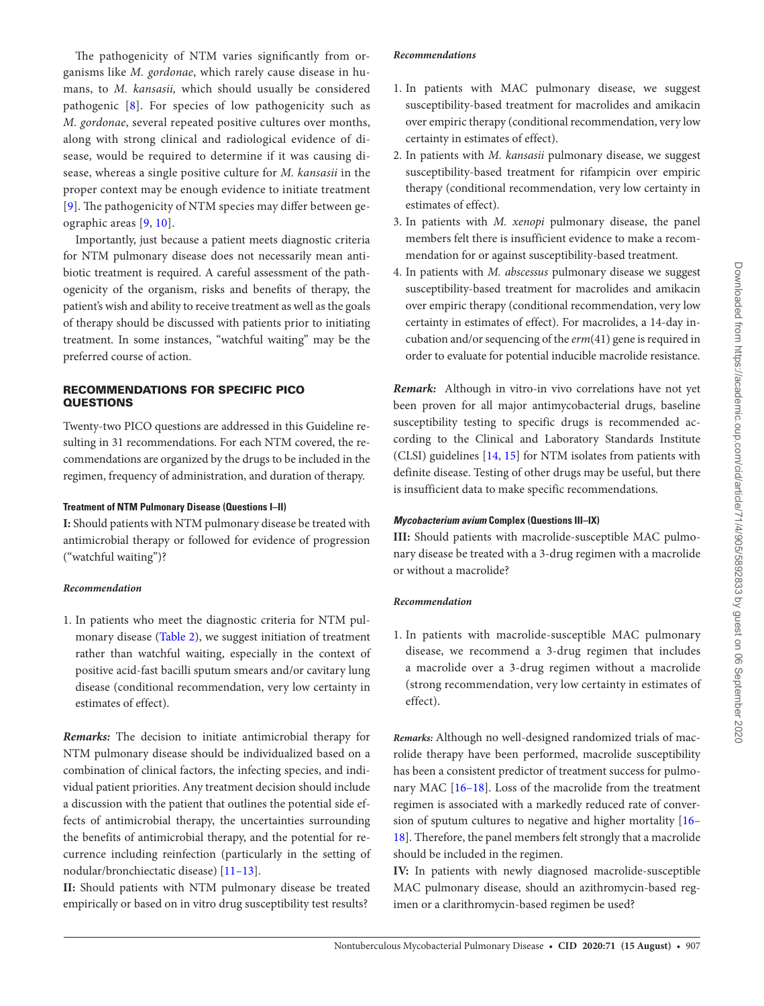The pathogenicity of NTM varies significantly from organisms like *M. gordonae*, which rarely cause disease in humans, to *M. kansasii,* which should usually be considered pathogenic [[8\]](#page-7-6). For species of low pathogenicity such as *M. gordonae*, several repeated positive cultures over months, along with strong clinical and radiological evidence of disease, would be required to determine if it was causing disease, whereas a single positive culture for *M. kansasii* in the proper context may be enough evidence to initiate treatment [[9](#page-7-7)]. The pathogenicity of NTM species may differ between geographic areas [[9](#page-7-7), [10](#page-7-8)].

Importantly, just because a patient meets diagnostic criteria for NTM pulmonary disease does not necessarily mean antibiotic treatment is required. A careful assessment of the pathogenicity of the organism, risks and benefits of therapy, the patient's wish and ability to receive treatment as well as the goals of therapy should be discussed with patients prior to initiating treatment. In some instances, "watchful waiting" may be the preferred course of action.

## RECOMMENDATIONS FOR SPECIFIC PICO **QUESTIONS**

Twenty-two PICO questions are addressed in this Guideline resulting in 31 recommendations. For each NTM covered, the recommendations are organized by the drugs to be included in the regimen, frequency of administration, and duration of therapy.

## **Treatment of NTM Pulmonary Disease (Questions I–II)**

**I:** Should patients with NTM pulmonary disease be treated with antimicrobial therapy or followed for evidence of progression ("watchful waiting")?

#### *Recommendation*

1. In patients who meet the diagnostic criteria for NTM pulmonary disease ([Table 2](#page-1-1)), we suggest initiation of treatment rather than watchful waiting, especially in the context of positive acid-fast bacilli sputum smears and/or cavitary lung disease (conditional recommendation, very low certainty in estimates of effect).

*Remarks:* The decision to initiate antimicrobial therapy for NTM pulmonary disease should be individualized based on a combination of clinical factors, the infecting species, and individual patient priorities. Any treatment decision should include a discussion with the patient that outlines the potential side effects of antimicrobial therapy, the uncertainties surrounding the benefits of antimicrobial therapy, and the potential for recurrence including reinfection (particularly in the setting of nodular/bronchiectatic disease) [\[11–](#page-7-9)[13\]](#page-7-10).

**II:** Should patients with NTM pulmonary disease be treated empirically or based on in vitro drug susceptibility test results?

#### *Recommendations*

- 1. In patients with MAC pulmonary disease, we suggest susceptibility-based treatment for macrolides and amikacin over empiric therapy (conditional recommendation, very low certainty in estimates of effect).
- 2. In patients with *M. kansasii* pulmonary disease, we suggest susceptibility-based treatment for rifampicin over empiric therapy (conditional recommendation, very low certainty in estimates of effect).
- 3. In patients with *M. xenopi* pulmonary disease, the panel members felt there is insufficient evidence to make a recommendation for or against susceptibility-based treatment.
- 4. In patients with *M. abscessus* pulmonary disease we suggest susceptibility-based treatment for macrolides and amikacin over empiric therapy (conditional recommendation, very low certainty in estimates of effect). For macrolides, a 14-day incubation and/or sequencing of the *erm*(41) gene is required in order to evaluate for potential inducible macrolide resistance.

*Remark:* Although in vitro*-*in vivo correlations have not yet been proven for all major antimycobacterial drugs, baseline susceptibility testing to specific drugs is recommended according to the Clinical and Laboratory Standards Institute (CLSI) guidelines [\[14,](#page-7-11) [15](#page-7-12)] for NTM isolates from patients with definite disease. Testing of other drugs may be useful, but there is insufficient data to make specific recommendations.

## *Mycobacterium avium* **Complex (Questions III–IX)**

**III:** Should patients with macrolide-susceptible MAC pulmonary disease be treated with a 3-drug regimen with a macrolide or without a macrolide?

#### *Recommendation*

1. In patients with macrolide-susceptible MAC pulmonary disease, we recommend a 3-drug regimen that includes a macrolide over a 3-drug regimen without a macrolide (strong recommendation, very low certainty in estimates of effect).

*Remarks:* Although no well-designed randomized trials of macrolide therapy have been performed, macrolide susceptibility has been a consistent predictor of treatment success for pulmonary MAC [[16–](#page-7-13)[18\]](#page-7-14). Loss of the macrolide from the treatment regimen is associated with a markedly reduced rate of conversion of sputum cultures to negative and higher mortality [[16–](#page-7-13) [18](#page-7-14)]. Therefore, the panel members felt strongly that a macrolide should be included in the regimen.

**IV:** In patients with newly diagnosed macrolide-susceptible MAC pulmonary disease, should an azithromycin-based regimen or a clarithromycin-based regimen be used?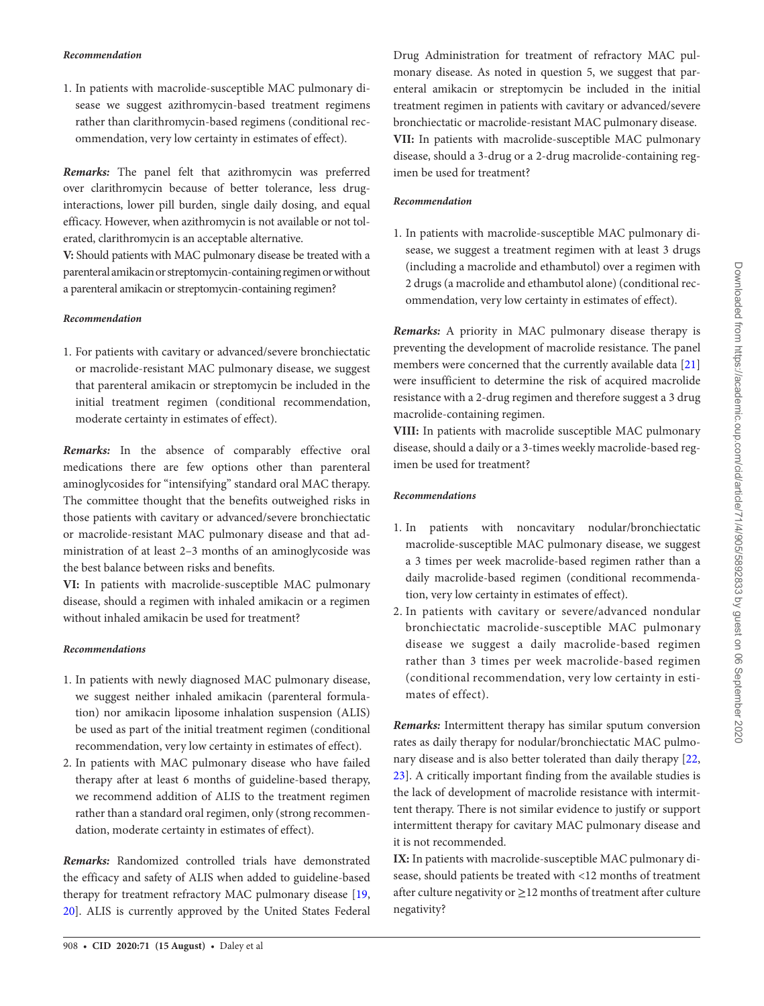1. In patients with macrolide-susceptible MAC pulmonary disease we suggest azithromycin-based treatment regimens rather than clarithromycin-based regimens (conditional recommendation, very low certainty in estimates of effect).

*Remarks:* The panel felt that azithromycin was preferred over clarithromycin because of better tolerance, less druginteractions, lower pill burden, single daily dosing, and equal efficacy. However, when azithromycin is not available or not tolerated, clarithromycin is an acceptable alternative.

**V:** Should patients with MAC pulmonary disease be treated with a parenteral amikacin or streptomycin-containing regimen or without a parenteral amikacin or streptomycin-containing regimen?

## *Recommendation*

1. For patients with cavitary or advanced/severe bronchiectatic or macrolide-resistant MAC pulmonary disease, we suggest that parenteral amikacin or streptomycin be included in the initial treatment regimen (conditional recommendation, moderate certainty in estimates of effect).

*Remarks:* In the absence of comparably effective oral medications there are few options other than parenteral aminoglycosides for "intensifying" standard oral MAC therapy. The committee thought that the benefits outweighed risks in those patients with cavitary or advanced/severe bronchiectatic or macrolide-resistant MAC pulmonary disease and that administration of at least 2–3 months of an aminoglycoside was the best balance between risks and benefits.

**VI:** In patients with macrolide-susceptible MAC pulmonary disease, should a regimen with inhaled amikacin or a regimen without inhaled amikacin be used for treatment?

# *Recommendations*

- 1. In patients with newly diagnosed MAC pulmonary disease, we suggest neither inhaled amikacin (parenteral formulation) nor amikacin liposome inhalation suspension (ALIS) be used as part of the initial treatment regimen (conditional recommendation, very low certainty in estimates of effect).
- 2. In patients with MAC pulmonary disease who have failed therapy after at least 6 months of guideline-based therapy, we recommend addition of ALIS to the treatment regimen rather than a standard oral regimen, only (strong recommendation, moderate certainty in estimates of effect).

*Remarks:* Randomized controlled trials have demonstrated the efficacy and safety of ALIS when added to guideline-based therapy for treatment refractory MAC pulmonary disease [[19,](#page-7-15) [20](#page-7-16)]. ALIS is currently approved by the United States Federal

Drug Administration for treatment of refractory MAC pulmonary disease. As noted in question 5, we suggest that parenteral amikacin or streptomycin be included in the initial treatment regimen in patients with cavitary or advanced/severe bronchiectatic or macrolide-resistant MAC pulmonary disease. **VII:** In patients with macrolide-susceptible MAC pulmonary disease, should a 3-drug or a 2-drug macrolide-containing regimen be used for treatment?

## *Recommendation*

1. In patients with macrolide-susceptible MAC pulmonary disease, we suggest a treatment regimen with at least 3 drugs (including a macrolide and ethambutol) over a regimen with 2 drugs (a macrolide and ethambutol alone) (conditional recommendation, very low certainty in estimates of effect).

*Remarks:* A priority in MAC pulmonary disease therapy is preventing the development of macrolide resistance. The panel members were concerned that the currently available data [[21\]](#page-7-17) were insufficient to determine the risk of acquired macrolide resistance with a 2-drug regimen and therefore suggest a 3 drug macrolide-containing regimen.

**VIII:** In patients with macrolide susceptible MAC pulmonary disease, should a daily or a 3-times weekly macrolide-based regimen be used for treatment?

## *Recommendations*

- 1. In patients with noncavitary nodular/bronchiectatic macrolide-susceptible MAC pulmonary disease, we suggest a 3 times per week macrolide-based regimen rather than a daily macrolide-based regimen (conditional recommendation, very low certainty in estimates of effect).
- 2. In patients with cavitary or severe/advanced nondular bronchiectatic macrolide-susceptible MAC pulmonary disease we suggest a daily macrolide-based regimen rather than 3 times per week macrolide-based regimen (conditional recommendation, very low certainty in estimates of effect).

*Remarks:* Intermittent therapy has similar sputum conversion rates as daily therapy for nodular/bronchiectatic MAC pulmonary disease and is also better tolerated than daily therapy [[22,](#page-7-18) [23](#page-7-19)]. A critically important finding from the available studies is the lack of development of macrolide resistance with intermittent therapy. There is not similar evidence to justify or support intermittent therapy for cavitary MAC pulmonary disease and it is not recommended.

**IX:** In patients with macrolide-susceptible MAC pulmonary disease, should patients be treated with <12 months of treatment after culture negativity or  $\geq$  12 months of treatment after culture negativity?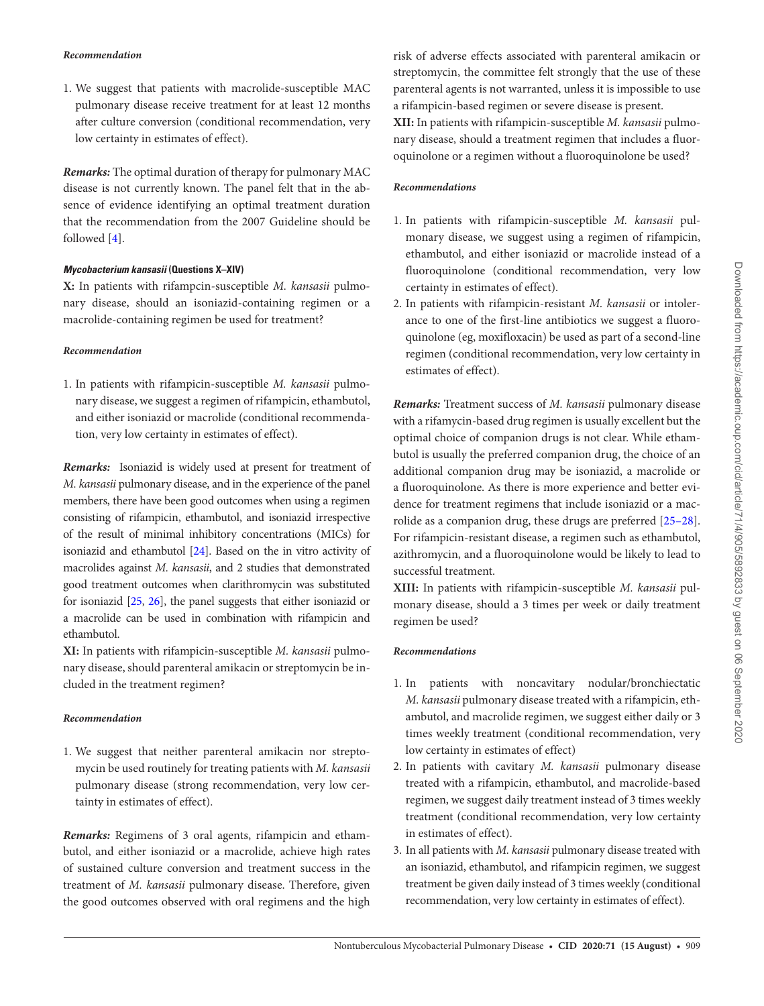#### *Recommendation*

1. We suggest that patients with macrolide-susceptible MAC pulmonary disease receive treatment for at least 12 months after culture conversion (conditional recommendation, very low certainty in estimates of effect).

*Remarks:* The optimal duration of therapy for pulmonary MAC disease is not currently known. The panel felt that in the absence of evidence identifying an optimal treatment duration that the recommendation from the 2007 Guideline should be followed [\[4\]](#page-7-3).

#### *Mycobacterium kansasii* **(Questions X–XIV)**

**X:** In patients with rifampcin-susceptible *M. kansasii* pulmonary disease, should an isoniazid-containing regimen or a macrolide-containing regimen be used for treatment?

#### *Recommendation*

1. In patients with rifampicin-susceptible *M. kansasii* pulmonary disease, we suggest a regimen of rifampicin, ethambutol, and either isoniazid or macrolide (conditional recommendation, very low certainty in estimates of effect).

*Remarks:* Isoniazid is widely used at present for treatment of *M. kansasii* pulmonary disease, and in the experience of the panel members, there have been good outcomes when using a regimen consisting of rifampicin, ethambutol, and isoniazid irrespective of the result of minimal inhibitory concentrations (MICs) for isoniazid and ethambutol [\[24](#page-7-20)]. Based on the in vitro activity of macrolides against *M. kansasii*, and 2 studies that demonstrated good treatment outcomes when clarithromycin was substituted for isoniazid [[25](#page-7-21), [26](#page-7-22)], the panel suggests that either isoniazid or a macrolide can be used in combination with rifampicin and ethambutol.

**XI:** In patients with rifampicin-susceptible *M. kansasii* pulmonary disease, should parenteral amikacin or streptomycin be included in the treatment regimen?

## *Recommendation*

1. We suggest that neither parenteral amikacin nor streptomycin be used routinely for treating patients with *M. kansasii* pulmonary disease (strong recommendation, very low certainty in estimates of effect).

*Remarks:* Regimens of 3 oral agents, rifampicin and ethambutol, and either isoniazid or a macrolide, achieve high rates of sustained culture conversion and treatment success in the treatment of *M. kansasii* pulmonary disease. Therefore, given the good outcomes observed with oral regimens and the high risk of adverse effects associated with parenteral amikacin or streptomycin, the committee felt strongly that the use of these parenteral agents is not warranted, unless it is impossible to use a rifampicin-based regimen or severe disease is present.

**XII:** In patients with rifampicin-susceptible *M. kansasii* pulmonary disease, should a treatment regimen that includes a fluoroquinolone or a regimen without a fluoroquinolone be used?

## *Recommendations*

- 1. In patients with rifampicin-susceptible *M. kansasii* pulmonary disease, we suggest using a regimen of rifampicin, ethambutol, and either isoniazid or macrolide instead of a fluoroquinolone (conditional recommendation, very low certainty in estimates of effect).
- 2. In patients with rifampicin-resistant *M. kansasii* or intolerance to one of the first-line antibiotics we suggest a fluoroquinolone (eg, moxifloxacin) be used as part of a second-line regimen (conditional recommendation, very low certainty in estimates of effect).

*Remarks:* Treatment success of *M. kansasii* pulmonary disease with a rifamycin-based drug regimen is usually excellent but the optimal choice of companion drugs is not clear. While ethambutol is usually the preferred companion drug, the choice of an additional companion drug may be isoniazid, a macrolide or a fluoroquinolone. As there is more experience and better evidence for treatment regimens that include isoniazid or a macrolide as a companion drug, these drugs are preferred [\[25](#page-7-21)[–28](#page-7-23)]. For rifampicin-resistant disease, a regimen such as ethambutol, azithromycin, and a fluoroquinolone would be likely to lead to successful treatment.

**XIII:** In patients with rifampicin-susceptible *M. kansasii* pulmonary disease, should a 3 times per week or daily treatment regimen be used?

## *Recommendations*

- 1. In patients with noncavitary nodular/bronchiectatic *M. kansasii* pulmonary disease treated with a rifampicin, ethambutol, and macrolide regimen, we suggest either daily or 3 times weekly treatment (conditional recommendation, very low certainty in estimates of effect)
- 2. In patients with cavitary *M. kansasii* pulmonary disease treated with a rifampicin, ethambutol, and macrolide-based regimen, we suggest daily treatment instead of 3 times weekly treatment (conditional recommendation, very low certainty in estimates of effect).
- 3. In all patients with *M. kansasii* pulmonary disease treated with an isoniazid, ethambutol, and rifampicin regimen, we suggest treatment be given daily instead of 3 times weekly (conditional recommendation, very low certainty in estimates of effect).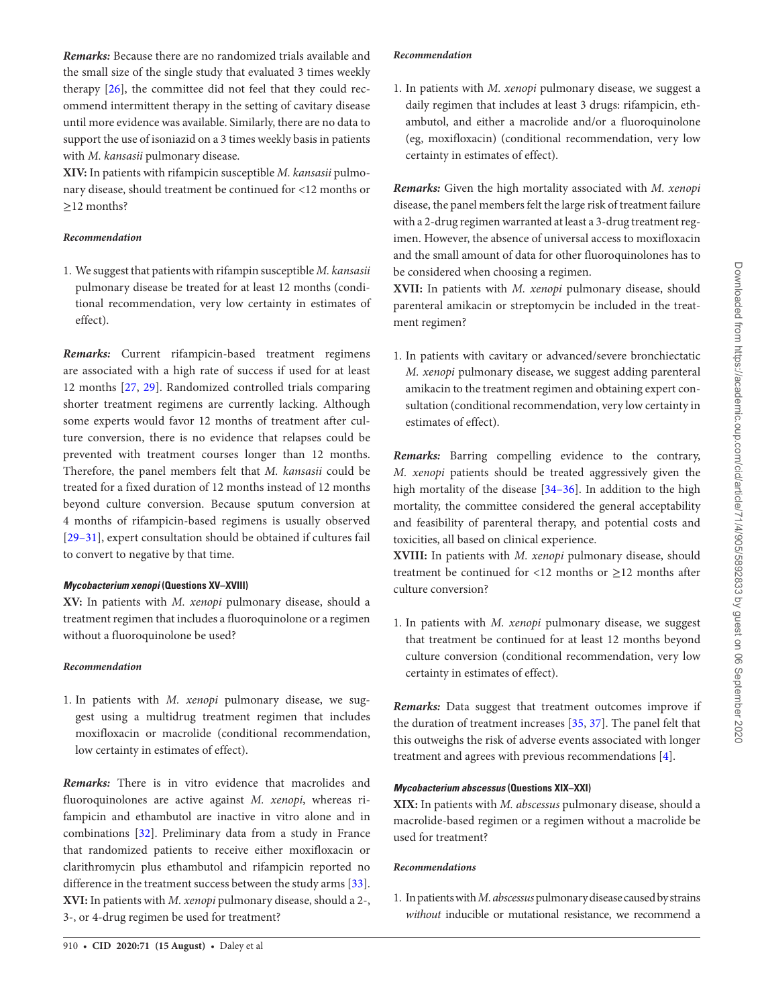*Remarks:* Because there are no randomized trials available and the small size of the single study that evaluated 3 times weekly therapy [\[26\]](#page-7-22), the committee did not feel that they could recommend intermittent therapy in the setting of cavitary disease until more evidence was available. Similarly, there are no data to support the use of isoniazid on a 3 times weekly basis in patients with *M. kansasii* pulmonary disease.

**XIV:** In patients with rifampicin susceptible *M. kansasii* pulmonary disease, should treatment be continued for <12 months or ≥12 months?

#### *Recommendation*

1. We suggest that patients with rifampin susceptible *M. kansasii* pulmonary disease be treated for at least 12 months (conditional recommendation, very low certainty in estimates of effect).

*Remarks:* Current rifampicin-based treatment regimens are associated with a high rate of success if used for at least 12 months [\[27](#page-7-24), [29\]](#page-7-25). Randomized controlled trials comparing shorter treatment regimens are currently lacking. Although some experts would favor 12 months of treatment after culture conversion, there is no evidence that relapses could be prevented with treatment courses longer than 12 months. Therefore, the panel members felt that *M. kansasii* could be treated for a fixed duration of 12 months instead of 12 months beyond culture conversion. Because sputum conversion at 4 months of rifampicin-based regimens is usually observed [\[29](#page-7-25)[–31\]](#page-7-26), expert consultation should be obtained if cultures fail to convert to negative by that time.

#### *Mycobacterium xenopi* **(Questions XV–XVIII)**

**XV:** In patients with *M. xenopi* pulmonary disease, should a treatment regimen that includes a fluoroquinolone or a regimen without a fluoroquinolone be used?

#### *Recommendation*

1. In patients with *M. xenopi* pulmonary disease, we suggest using a multidrug treatment regimen that includes moxifloxacin or macrolide (conditional recommendation, low certainty in estimates of effect).

*Remarks:* There is in vitro evidence that macrolides and fluoroquinolones are active against *M. xenopi*, whereas rifampicin and ethambutol are inactive in vitro alone and in combinations [[32](#page-7-27)]. Preliminary data from a study in France that randomized patients to receive either moxifloxacin or clarithromycin plus ethambutol and rifampicin reported no difference in the treatment success between the study arms [\[33\]](#page-7-28). **XVI:** In patients with *M. xenopi* pulmonary disease, should a 2-, 3-, or 4-drug regimen be used for treatment?

#### 910 • **cid 2020:71 (15 August)** • Daley et al

## *Recommendation*

1. In patients with *M. xenopi* pulmonary disease, we suggest a daily regimen that includes at least 3 drugs: rifampicin, ethambutol, and either a macrolide and/or a fluoroquinolone (eg, moxifloxacin) (conditional recommendation, very low certainty in estimates of effect).

*Remarks:* Given the high mortality associated with *M. xenopi* disease, the panel members felt the large risk of treatment failure with a 2-drug regimen warranted at least a 3-drug treatment regimen. However, the absence of universal access to moxifloxacin and the small amount of data for other fluoroquinolones has to be considered when choosing a regimen.

**XVII:** In patients with *M. xenopi* pulmonary disease, should parenteral amikacin or streptomycin be included in the treatment regimen?

1. In patients with cavitary or advanced/severe bronchiectatic *M. xenopi* pulmonary disease, we suggest adding parenteral amikacin to the treatment regimen and obtaining expert consultation (conditional recommendation, very low certainty in estimates of effect).

*Remarks:* Barring compelling evidence to the contrary, *M. xenopi* patients should be treated aggressively given the high mortality of the disease [[34–](#page-7-29)[36\]](#page-7-30). In addition to the high mortality, the committee considered the general acceptability and feasibility of parenteral therapy, and potential costs and toxicities, all based on clinical experience.

**XVIII:** In patients with *M. xenopi* pulmonary disease, should treatment be continued for <12 months or  $\geq$ 12 months after culture conversion?

1. In patients with *M. xenopi* pulmonary disease, we suggest that treatment be continued for at least 12 months beyond culture conversion (conditional recommendation, very low certainty in estimates of effect).

*Remarks:* Data suggest that treatment outcomes improve if the duration of treatment increases [[35](#page-7-31), [37\]](#page-7-32). The panel felt that this outweighs the risk of adverse events associated with longer treatment and agrees with previous recommendations [[4](#page-7-3)].

## *Mycobacterium abscessus* **(Questions XIX–XXI)**

**XIX:** In patients with *M. abscessus* pulmonary disease, should a macrolide-based regimen or a regimen without a macrolide be used for treatment?

#### *Recommendations*

1. In patients with *M. abscessus* pulmonary disease caused by strains *without* inducible or mutational resistance, we recommend a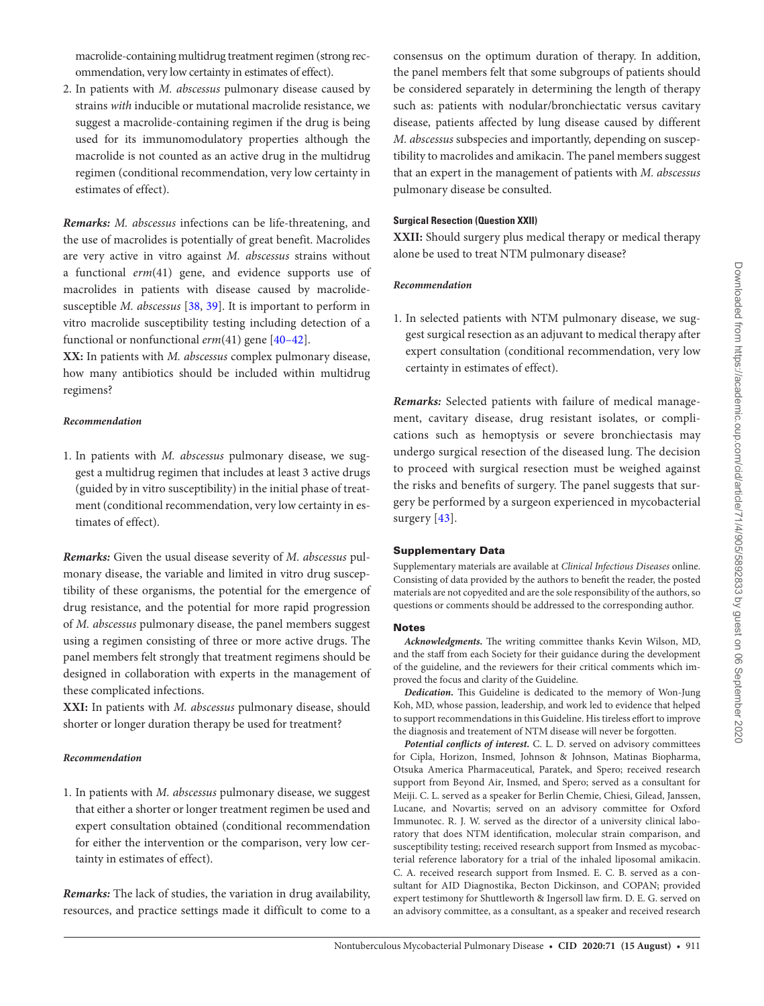2. In patients with *M. abscessus* pulmonary disease caused by strains *with* inducible or mutational macrolide resistance, we suggest a macrolide-containing regimen if the drug is being used for its immunomodulatory properties although the macrolide is not counted as an active drug in the multidrug regimen (conditional recommendation, very low certainty in estimates of effect).

*Remarks: M. abscessus* infections can be life-threatening, and the use of macrolides is potentially of great benefit. Macrolides are very active in vitro against *M. abscessus* strains without a functional *erm*(41) gene, and evidence supports use of macrolides in patients with disease caused by macrolidesusceptible *M. abscessus* [\[38,](#page-8-0) [39\]](#page-8-1). It is important to perform in vitro macrolide susceptibility testing including detection of a functional or nonfunctional *erm*(41) gene [[40](#page-8-2)[–42](#page-8-3)].

**XX:** In patients with *M. abscessus* complex pulmonary disease, how many antibiotics should be included within multidrug regimens?

## *Recommendation*

1. In patients with *M. abscessus* pulmonary disease, we suggest a multidrug regimen that includes at least 3 active drugs (guided by in vitro susceptibility) in the initial phase of treatment (conditional recommendation, very low certainty in estimates of effect).

*Remarks:* Given the usual disease severity of *M. abscessus* pulmonary disease, the variable and limited in vitro drug susceptibility of these organisms, the potential for the emergence of drug resistance, and the potential for more rapid progression of *M. abscessus* pulmonary disease, the panel members suggest using a regimen consisting of three or more active drugs. The panel members felt strongly that treatment regimens should be designed in collaboration with experts in the management of these complicated infections.

**XXI:** In patients with *M. abscessus* pulmonary disease, should shorter or longer duration therapy be used for treatment?

# *Recommendation*

1. In patients with *M. abscessus* pulmonary disease, we suggest that either a shorter or longer treatment regimen be used and expert consultation obtained (conditional recommendation for either the intervention or the comparison, very low certainty in estimates of effect).

*Remarks:* The lack of studies, the variation in drug availability, resources, and practice settings made it difficult to come to a consensus on the optimum duration of therapy. In addition, the panel members felt that some subgroups of patients should be considered separately in determining the length of therapy such as: patients with nodular/bronchiectatic versus cavitary disease, patients affected by lung disease caused by different *M. abscessus* subspecies and importantly, depending on susceptibility to macrolides and amikacin. The panel members suggest that an expert in the management of patients with *M. abscessus* pulmonary disease be consulted.

# **Surgical Resection (Question XXII)**

**XXII:** Should surgery plus medical therapy or medical therapy alone be used to treat NTM pulmonary disease?

# *Recommendation*

1. In selected patients with NTM pulmonary disease, we suggest surgical resection as an adjuvant to medical therapy after expert consultation (conditional recommendation, very low certainty in estimates of effect).

*Remarks:* Selected patients with failure of medical management, cavitary disease, drug resistant isolates, or complications such as hemoptysis or severe bronchiectasis may undergo surgical resection of the diseased lung. The decision to proceed with surgical resection must be weighed against the risks and benefits of surgery. The panel suggests that surgery be performed by a surgeon experienced in mycobacterial surgery [[43](#page-8-4)].

# Supplementary Data

Supplementary materials are available at *Clinical Infectious Diseases* online. Consisting of data provided by the authors to benefit the reader, the posted materials are not copyedited and are the sole responsibility of the authors, so questions or comments should be addressed to the corresponding author.

# Notes

*Acknowledgments.* The writing committee thanks Kevin Wilson, MD, and the staff from each Society for their guidance during the development of the guideline, and the reviewers for their critical comments which improved the focus and clarity of the Guideline.

*Dedication.* This Guideline is dedicated to the memory of Won-Jung Koh, MD, whose passion, leadership, and work led to evidence that helped to support recommendations in this Guideline. His tireless effort to improve the diagnosis and treatement of NTM disease will never be forgotten.

*Potential conflicts of interest.* C. L. D. served on advisory committees for Cipla, Horizon, Insmed, Johnson & Johnson, Matinas Biopharma, Otsuka America Pharmaceutical, Paratek, and Spero; received research support from Beyond Air, Insmed, and Spero; served as a consultant for Meiji. C. L. served as a speaker for Berlin Chemie, Chiesi, Gilead, Janssen, Lucane, and Novartis; served on an advisory committee for Oxford Immunotec. R. J. W. served as the director of a university clinical laboratory that does NTM identification, molecular strain comparison, and susceptibility testing; received research support from Insmed as mycobacterial reference laboratory for a trial of the inhaled liposomal amikacin. C. A. received research support from Insmed. E. C. B. served as a consultant for AID Diagnostika, Becton Dickinson, and COPAN; provided expert testimony for Shuttleworth & Ingersoll law firm. D. E. G. served on an advisory committee, as a consultant, as a speaker and received research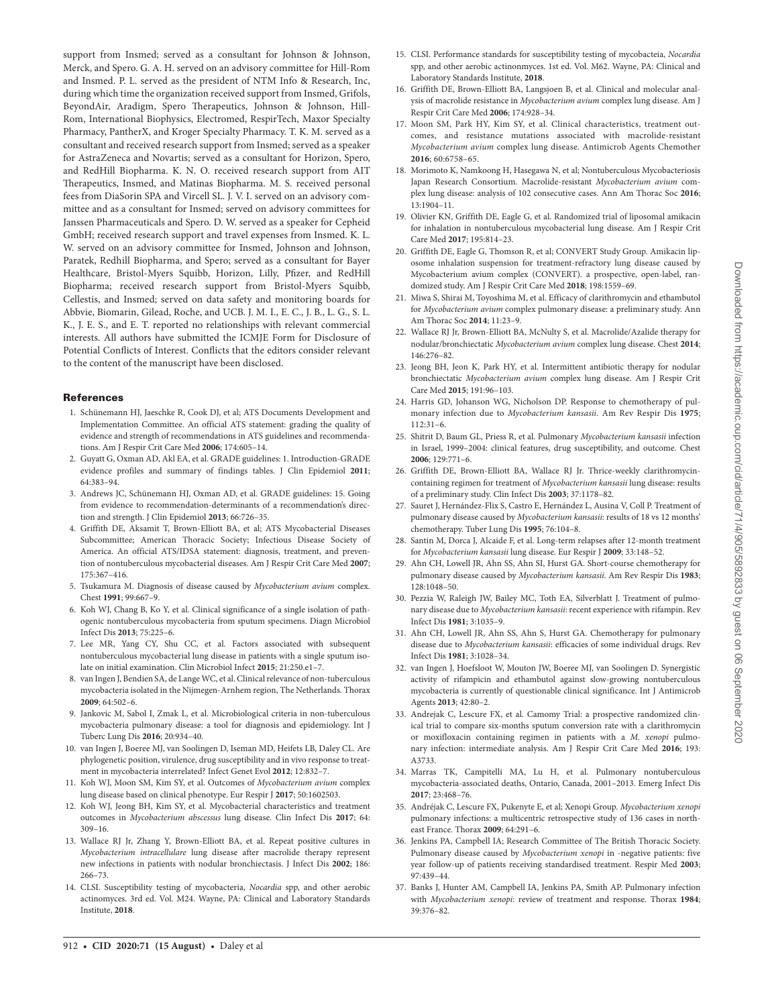support from Insmed; served as a consultant for Johnson & Johnson, Merck, and Spero. G. A. H. served on an advisory committee for Hill-Rom and Insmed. P. L. served as the president of NTM Info & Research, Inc, during which time the organization received support from Insmed, Grifols, BeyondAir, Aradigm, Spero Therapeutics, Johnson & Johnson, Hill-Rom, International Biophysics, Electromed, RespirTech, Maxor Specialty Pharmacy, PantherX, and Kroger Specialty Pharmacy. T. K. M. served as a consultant and received research support from Insmed; served as a speaker for AstraZeneca and Novartis; served as a consultant for Horizon, Spero, and RedHill Biopharma. K. N. O. received research support from AIT Therapeutics, Insmed, and Matinas Biopharma. M. S. received personal fees from DiaSorin SPA and Vircell SL. J. V. I. served on an advisory committee and as a consultant for Insmed; served on advisory committees for Janssen Pharmaceuticals and Spero. D. W. served as a speaker for Cepheid GmbH; received research support and travel expenses from Insmed. K. L. W. served on an advisory committee for Insmed, Johnson and Johnson, Paratek, Redhill Biopharma, and Spero; served as a consultant for Bayer Healthcare, Bristol-Myers Squibb, Horizon, Lilly, Pfizer, and RedHill Biopharma; received research support from Bristol-Myers Squibb, Cellestis, and Insmed; served on data safety and monitoring boards for Abbvie, Biomarin, Gilead, Roche, and UCB. J. M. I., E. C., J. B., L. G., S. L. K., J. E. S., and E. T. reported no relationships with relevant commercial interests. All authors have submitted the ICMJE Form for Disclosure of Potential Conflicts of Interest. Conflicts that the editors consider relevant to the content of the manuscript have been disclosed.

#### References

- <span id="page-7-0"></span>1. Schünemann HJ, Jaeschke R, Cook DJ, et al; ATS Documents Development and Implementation Committee. An official ATS statement: grading the quality of evidence and strength of recommendations in ATS guidelines and recommendations. Am J Respir Crit Care Med **2006**; 174:605–14.
- <span id="page-7-1"></span>2. Guyatt G, Oxman AD, Akl EA, et al. GRADE guidelines: 1. Introduction-GRADE evidence profiles and summary of findings tables. J Clin Epidemiol **2011**; 64:383–94.
- <span id="page-7-2"></span>3. Andrews JC, Schünemann HJ, Oxman AD, et al. GRADE guidelines: 15. Going from evidence to recommendation-determinants of a recommendation's direction and strength. J Clin Epidemiol **2013**; 66:726–35.
- <span id="page-7-3"></span>4. Griffith DE, Aksamit T, Brown-Elliott BA, et al; ATS Mycobacterial Diseases Subcommittee; American Thoracic Society; Infectious Disease Society of America. An official ATS/IDSA statement: diagnosis, treatment, and prevention of nontuberculous mycobacterial diseases. Am J Respir Crit Care Med **2007**; 175:367–416.
- <span id="page-7-4"></span>5. Tsukamura M. Diagnosis of disease caused by *Mycobacterium avium* complex. Chest **1991**; 99:667–9.
- 6. Koh WJ, Chang B, Ko Y, et al. Clinical significance of a single isolation of pathogenic nontuberculous mycobacteria from sputum specimens. Diagn Microbiol Infect Dis **2013**; 75:225–6.
- <span id="page-7-5"></span>7. Lee MR, Yang CY, Shu CC, et al. Factors associated with subsequent nontuberculous mycobacterial lung disease in patients with a single sputum isolate on initial examination. Clin Microbiol Infect **2015**; 21:250.e1–7.
- <span id="page-7-6"></span>8. van Ingen J, Bendien SA, de Lange WC, et al. Clinical relevance of non-tuberculous mycobacteria isolated in the Nijmegen-Arnhem region, The Netherlands. Thorax **2009**; 64:502–6.
- <span id="page-7-7"></span>9. Jankovic M, Sabol I, Zmak L, et al. Microbiological criteria in non-tuberculous mycobacteria pulmonary disease: a tool for diagnosis and epidemiology. Int J Tuberc Lung Dis **2016**; 20:934–40.
- <span id="page-7-8"></span>10. van Ingen J, Boeree MJ, van Soolingen D, Iseman MD, Heifets LB, Daley CL. Are phylogenetic position, virulence, drug susceptibility and in vivo response to treatment in mycobacteria interrelated? Infect Genet Evol **2012**; 12:832–7.
- <span id="page-7-9"></span>11. Koh WJ, Moon SM, Kim SY, et al. Outcomes of *Mycobacterium avium* complex lung disease based on clinical phenotype. Eur Respir J **2017**; 50:1602503.
- 12. Koh WJ, Jeong BH, Kim SY, et al. Mycobacterial characteristics and treatment outcomes in *Mycobacterium abscessus* lung disease. Clin Infect Dis **2017**; 64: 309–16.
- <span id="page-7-10"></span>13. Wallace RJ Jr, Zhang Y, Brown-Elliott BA, et al. Repeat positive cultures in *Mycobacterium intracellulare* lung disease after macrolide therapy represent new infections in patients with nodular bronchiectasis. J Infect Dis **2002**; 186: 266–73.
- <span id="page-7-11"></span>14. CLSI. Susceptibility testing of mycobacteria, *Nocardia* spp, and other aerobic actinomyces. 3rd ed. Vol. M24. Wayne, PA: Clinical and Laboratory Standards Institute, **2018**.
- <span id="page-7-12"></span>15. CLSI. Performance standards for susceptibility testing of mycobacteia, *Nocardia* spp, and other aerobic actinonmyces. 1st ed. Vol. M62. Wayne, PA: Clinical and Laboratory Standards Institute, **2018**.
- <span id="page-7-13"></span>16. Griffith DE, Brown-Elliott BA, Langsjoen B, et al. Clinical and molecular analysis of macrolide resistance in *Mycobacterium avium* complex lung disease. Am J Respir Crit Care Med **2006**; 174:928–34.
- 17. Moon SM, Park HY, Kim SY, et al. Clinical characteristics, treatment outcomes, and resistance mutations associated with macrolide-resistant *Mycobacterium avium* complex lung disease. Antimicrob Agents Chemother **2016**; 60:6758–65.
- <span id="page-7-14"></span>18. Morimoto K, Namkoong H, Hasegawa N, et al; Nontuberculous Mycobacteriosis Japan Research Consortium. Macrolide-resistant *Mycobacterium avium* complex lung disease: analysis of 102 consecutive cases. Ann Am Thorac Soc **2016**; 13:1904–11.
- <span id="page-7-15"></span>19. Olivier KN, Griffith DE, Eagle G, et al. Randomized trial of liposomal amikacin for inhalation in nontuberculous mycobacterial lung disease. Am J Respir Crit Care Med **2017**; 195:814–23.
- <span id="page-7-16"></span>20. Griffith DE, Eagle G, Thomson R, et al; CONVERT Study Group. Amikacin liposome inhalation suspension for treatment-refractory lung disease caused by Mycobacterium avium complex (CONVERT). a prospective, open-label, randomized study. Am J Respir Crit Care Med **2018**; 198:1559–69.
- <span id="page-7-17"></span>21. Miwa S, Shirai M, Toyoshima M, et al. Efficacy of clarithromycin and ethambutol for *Mycobacterium avium* complex pulmonary disease: a preliminary study. Ann Am Thorac Soc **2014**; 11:23–9.
- <span id="page-7-18"></span>22. Wallace RJ Jr, Brown-Elliott BA, McNulty S, et al. Macrolide/Azalide therapy for nodular/bronchiectatic *Mycobacterium avium* complex lung disease. Chest **2014**; 146:276–82.
- <span id="page-7-19"></span>23. Jeong BH, Jeon K, Park HY, et al. Intermittent antibiotic therapy for nodular bronchiectatic *Mycobacterium avium* complex lung disease. Am J Respir Crit Care Med **2015**; 191:96–103.
- <span id="page-7-20"></span>24. Harris GD, Johanson WG, Nicholson DP. Response to chemotherapy of pulmonary infection due to *Mycobacterium kansasii*. Am Rev Respir Dis **1975**; 112:31–6.
- <span id="page-7-21"></span>25. Shitrit D, Baum GL, Priess R, et al. Pulmonary *Mycobacterium kansasii* infection in Israel, 1999–2004: clinical features, drug susceptibility, and outcome. Chest **2006**; 129:771–6.
- <span id="page-7-22"></span>26. Griffith DE, Brown-Elliott BA, Wallace RJ Jr. Thrice-weekly clarithromycincontaining regimen for treatment of *Mycobacterium kansasii* lung disease: results of a preliminary study. Clin Infect Dis **2003**; 37:1178–82.
- <span id="page-7-24"></span>27. Sauret J, Hernández-Flix S, Castro E, Hernández L, Ausina V, Coll P. Treatment of pulmonary disease caused by *Mycobacterium kansasii*: results of 18 vs 12 months' chemotherapy. Tuber Lung Dis **1995**; 76:104–8.
- <span id="page-7-23"></span>28. Santin M, Dorca J, Alcaide F, et al. Long-term relapses after 12-month treatment for *Mycobacterium kansasii* lung disease. Eur Respir J **2009**; 33:148–52.
- <span id="page-7-25"></span>29. Ahn CH, Lowell JR, Ahn SS, Ahn SI, Hurst GA. Short-course chemotherapy for pulmonary disease caused by *Mycobacterium kansasii*. Am Rev Respir Dis **1983**; 128:1048–50.
- 30. Pezzia W, Raleigh JW, Bailey MC, Toth EA, Silverblatt J. Treatment of pulmonary disease due to *Mycobacterium kansasii*: recent experience with rifampin. Rev Infect Dis **1981**; 3:1035–9.
- <span id="page-7-26"></span>31. Ahn CH, Lowell JR, Ahn SS, Ahn S, Hurst GA. Chemotherapy for pulmonary disease due to *Mycobacterium kansasii*: efficacies of some individual drugs. Rev Infect Dis **1981**; 3:1028–34.
- <span id="page-7-27"></span>32. van Ingen J, Hoefsloot W, Mouton JW, Boeree MJ, van Soolingen D. Synergistic activity of rifampicin and ethambutol against slow-growing nontuberculous mycobacteria is currently of questionable clinical significance. Int J Antimicrob Agents **2013**; 42:80–2.
- <span id="page-7-28"></span>33. Andrejak C, Lescure FX, et al. Camomy Trial: a prospective randomized clinical trial to compare six-months sputum conversion rate with a clarithromycin or moxifloxacin containing regimen in patients with a *M. xenopi* pulmonary infection: intermediate analysis. Am J Respir Crit Care Med **2016**; 193: A3733.
- <span id="page-7-29"></span>34. Marras TK, Campitelli MA, Lu H, et al. Pulmonary nontuberculous mycobacteria-associated deaths, Ontario, Canada, 2001–2013. Emerg Infect Dis **2017**; 23:468–76.
- <span id="page-7-31"></span>35. Andréjak C, Lescure FX, Pukenyte E, et al; Xenopi Group. *Mycobacterium xenopi* pulmonary infections: a multicentric retrospective study of 136 cases in northeast France. Thorax **2009**; 64:291–6.
- <span id="page-7-30"></span>36. Jenkins PA, Campbell IA; Research Committee of The British Thoracic Society. Pulmonary disease caused by *Mycobacterium xenopi* in -negative patients: five year follow-up of patients receiving standardised treatment. Respir Med **2003**; 97:439–44.
- <span id="page-7-32"></span>37. Banks J, Hunter AM, Campbell IA, Jenkins PA, Smith AP. Pulmonary infection with *Mycobacterium xenopi*: review of treatment and response. Thorax **1984**; 39:376–82.